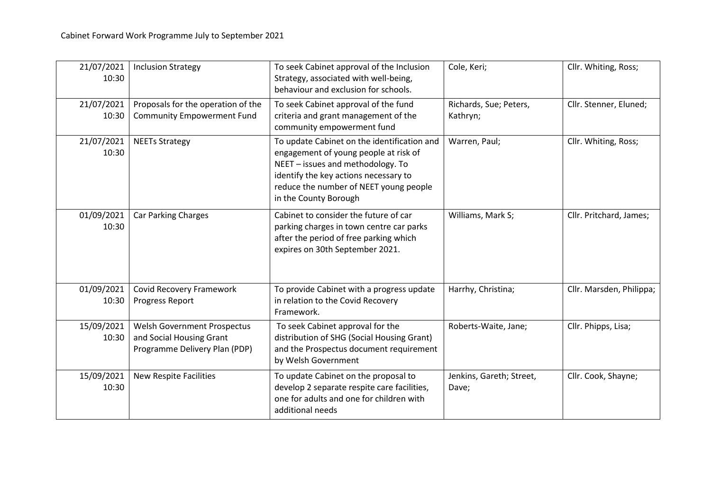| 21/07/2021<br>10:30 | <b>Inclusion Strategy</b>                                                                | To seek Cabinet approval of the Inclusion<br>Strategy, associated with well-being,<br>behaviour and exclusion for schools.                                                                                                            | Cole, Keri;                        | Cllr. Whiting, Ross;     |
|---------------------|------------------------------------------------------------------------------------------|---------------------------------------------------------------------------------------------------------------------------------------------------------------------------------------------------------------------------------------|------------------------------------|--------------------------|
| 21/07/2021<br>10:30 | Proposals for the operation of the<br><b>Community Empowerment Fund</b>                  | To seek Cabinet approval of the fund<br>criteria and grant management of the<br>community empowerment fund                                                                                                                            | Richards, Sue; Peters,<br>Kathryn; | Cllr. Stenner, Eluned;   |
| 21/07/2021<br>10:30 | <b>NEETs Strategy</b>                                                                    | To update Cabinet on the identification and<br>engagement of young people at risk of<br>NEET - issues and methodology. To<br>identify the key actions necessary to<br>reduce the number of NEET young people<br>in the County Borough | Warren, Paul;                      | Cllr. Whiting, Ross;     |
| 01/09/2021<br>10:30 | Car Parking Charges                                                                      | Cabinet to consider the future of car<br>parking charges in town centre car parks<br>after the period of free parking which<br>expires on 30th September 2021.                                                                        | Williams, Mark S;                  | Cllr. Pritchard, James;  |
| 01/09/2021<br>10:30 | <b>Covid Recovery Framework</b><br>Progress Report                                       | To provide Cabinet with a progress update<br>in relation to the Covid Recovery<br>Framework.                                                                                                                                          | Harrhy, Christina;                 | Cllr. Marsden, Philippa; |
| 15/09/2021<br>10:30 | Welsh Government Prospectus<br>and Social Housing Grant<br>Programme Delivery Plan (PDP) | To seek Cabinet approval for the<br>distribution of SHG (Social Housing Grant)<br>and the Prospectus document requirement<br>by Welsh Government                                                                                      | Roberts-Waite, Jane;               | Cllr. Phipps, Lisa;      |
| 15/09/2021<br>10:30 | <b>New Respite Facilities</b>                                                            | To update Cabinet on the proposal to<br>develop 2 separate respite care facilities,<br>one for adults and one for children with<br>additional needs                                                                                   | Jenkins, Gareth; Street,<br>Dave;  | Cllr. Cook, Shayne;      |